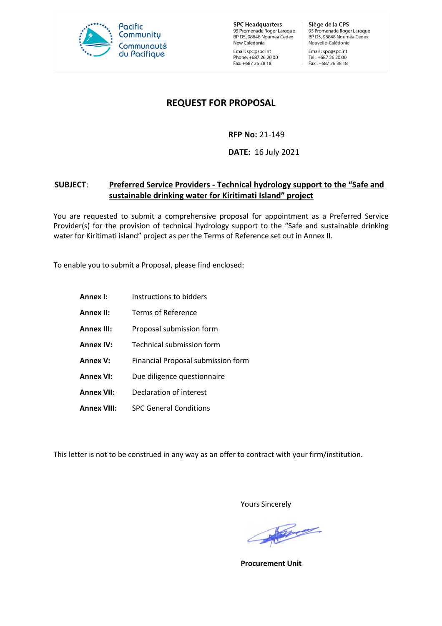

**SPC Headquarters** 95 Promenade Roger Laroque<br>BP D5, 98848 Noumea Cedex New Caledonia Email: spc@spc.int Phone: +687 26 20 00 Fax: +687 26 38 18

Siège de la CPS 95 Promenade Roger Laroque<br>BP D5, 98848 Nouméa Cedex Nouvelle-Calédonie Email: spc@spc.int Tel: +687 26 20 00 Fax: +687 26 38 18

# **REQUEST FOR PROPOSAL**

# **RFP No:** 21-149

**DATE:** 16 July 2021

# **SUBJECT**: **Preferred Service Providers - Technical hydrology support to the "Safe and sustainable drinking water for Kiritimati Island" project**

You are requested to submit a comprehensive proposal for appointment as a Preferred Service Provider(s) for the provision of technical hydrology support to the "Safe and sustainable drinking water for Kiritimati island" project as per the Terms of Reference set out in Annex II.

To enable you to submit a Proposal, please find enclosed:

**Annex I:** Instructions to bidders **Annex II:** Terms of Reference **Annex III:** Proposal submission form **Annex IV:** Technical submission form **Annex V:** Financial Proposal submission form Annex VI: Due diligence questionnaire **Annex VII:** Declaration of interest **Annex VIII:** SPC General Conditions

This letter is not to be construed in any way as an offer to contract with your firm/institution.

Yours Sincerely

March 1990

**Procurement Unit**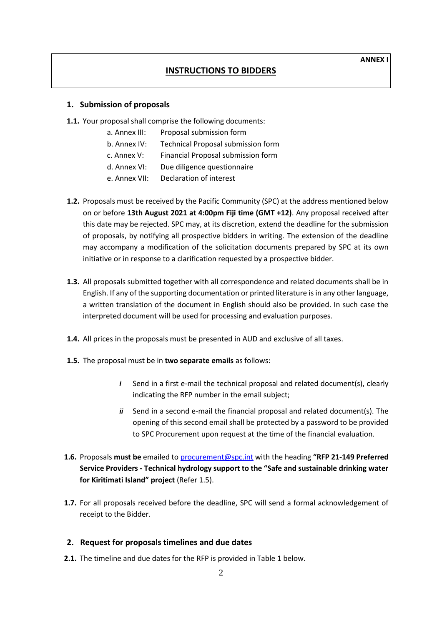### **INSTRUCTIONS TO BIDDERS**

#### **1. Submission of proposals**

- **1.1.** Your proposal shall comprise the following documents:
	- a. Annex III: Proposal submission form
	- b. Annex IV: Technical Proposal submission form
	- c. Annex V: Financial Proposal submission form
	- d. Annex VI: Due diligence questionnaire
	- e. Annex VII: Declaration of interest
- **1.2.** Proposals must be received by the Pacific Community (SPC) at the address mentioned below on or before **13th August 2021 at 4:00pm Fiji time (GMT +12)**. Any proposal received after this date may be rejected. SPC may, at its discretion, extend the deadline for the submission of proposals, by notifying all prospective bidders in writing. The extension of the deadline may accompany a modification of the solicitation documents prepared by SPC at its own initiative or in response to a clarification requested by a prospective bidder.
- **1.3.** All proposals submitted together with all correspondence and related documents shall be in English. If any of the supporting documentation or printed literature is in any other language, a written translation of the document in English should also be provided. In such case the interpreted document will be used for processing and evaluation purposes.
- **1.4.** All prices in the proposals must be presented in AUD and exclusive of all taxes.
- **1.5.** The proposal must be in **two separate emails** as follows:
	- *i* Send in a first e-mail the technical proposal and related document(s), clearly indicating the RFP number in the email subject;
	- *ii* Send in a second e-mail the financial proposal and related document(s). The opening of this second email shall be protected by a password to be provided to SPC Procurement upon request at the time of the financial evaluation.
- **1.6.** Proposals **must be** emailed to [procurement@spc.int](mailto:procurement@spc.int) with the heading **"RFP 21-149 Preferred Service Providers - Technical hydrology support to the "Safe and sustainable drinking water for Kiritimati Island" project** (Refer 1.5).
- **1.7.** For all proposals received before the deadline, SPC will send a formal acknowledgement of receipt to the Bidder.

#### **2. Request for proposals timelines and due dates**

**2.1.** The timeline and due dates for the RFP is provided in Table 1 below.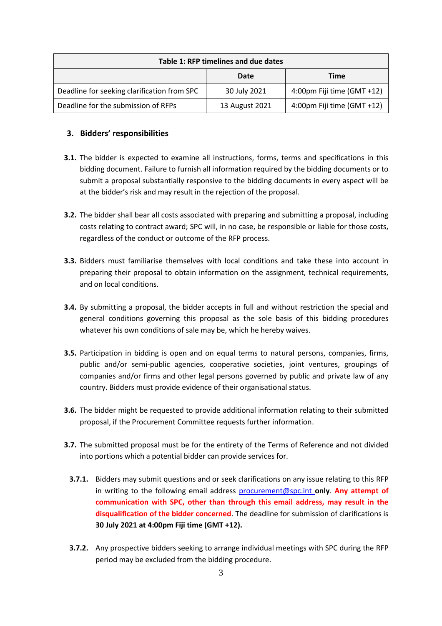| Table 1: RFP timelines and due dates        |                |                            |  |
|---------------------------------------------|----------------|----------------------------|--|
|                                             | Date           | Time                       |  |
| Deadline for seeking clarification from SPC | 30 July 2021   | 4:00pm Fiji time (GMT +12) |  |
| Deadline for the submission of RFPs         | 13 August 2021 | 4:00pm Fiji time (GMT +12) |  |

### **3. Bidders' responsibilities**

- **3.1.** The bidder is expected to examine all instructions, forms, terms and specifications in this bidding document. Failure to furnish all information required by the bidding documents or to submit a proposal substantially responsive to the bidding documents in every aspect will be at the bidder's risk and may result in the rejection of the proposal.
- **3.2.** The bidder shall bear all costs associated with preparing and submitting a proposal, including costs relating to contract award; SPC will, in no case, be responsible or liable for those costs, regardless of the conduct or outcome of the RFP process.
- **3.3.** Bidders must familiarise themselves with local conditions and take these into account in preparing their proposal to obtain information on the assignment, technical requirements, and on local conditions.
- **3.4.** By submitting a proposal, the bidder accepts in full and without restriction the special and general conditions governing this proposal as the sole basis of this bidding procedures whatever his own conditions of sale may be, which he hereby waives.
- **3.5.** Participation in bidding is open and on equal terms to natural persons, companies, firms, public and/or semi-public agencies, cooperative societies, joint ventures, groupings of companies and/or firms and other legal persons governed by public and private law of any country. Bidders must provide evidence of their organisational status.
- **3.6.** The bidder might be requested to provide additional information relating to their submitted proposal, if the Procurement Committee requests further information.
- **3.7.** The submitted proposal must be for the entirety of the Terms of Reference and not divided into portions which a potential bidder can provide services for.
	- **3.7.1.** Bidders may submit questions and or seek clarifications on any issue relating to this RFP in writing to the following email address [procurement@spc.int](mailto:procurement@spc.int) **only**. **Any attempt of communication with SPC, other than through this email address, may result in the disqualification of the bidder concerned**. The deadline for submission of clarifications is **30 July 2021 at 4:00pm Fiji time (GMT +12).**
	- **3.7.2.** Any prospective bidders seeking to arrange individual meetings with SPC during the RFP period may be excluded from the bidding procedure.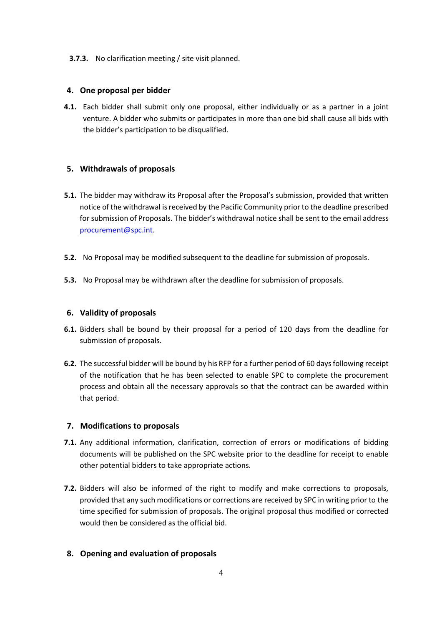### **3.7.3.** No clarification meeting / site visit planned.

# **4. One proposal per bidder**

**4.1.** Each bidder shall submit only one proposal, either individually or as a partner in a joint venture. A bidder who submits or participates in more than one bid shall cause all bids with the bidder's participation to be disqualified.

# **5. Withdrawals of proposals**

- **5.1.** The bidder may withdraw its Proposal after the Proposal's submission, provided that written notice of the withdrawal is received by the Pacific Community prior to the deadline prescribed for submission of Proposals. The bidder's withdrawal notice shall be sent to the email address [procurement@spc.int.](mailto:procurement@spc.int)
- **5.2.** No Proposal may be modified subsequent to the deadline for submission of proposals.
- **5.3.** No Proposal may be withdrawn after the deadline for submission of proposals.

# **6. Validity of proposals**

- **6.1.** Bidders shall be bound by their proposal for a period of 120 days from the deadline for submission of proposals.
- **6.2.** The successful bidder will be bound by his RFP for a further period of 60 days following receipt of the notification that he has been selected to enable SPC to complete the procurement process and obtain all the necessary approvals so that the contract can be awarded within that period.

### **7. Modifications to proposals**

- 7.1. Any additional information, clarification, correction of errors or modifications of bidding documents will be published on the SPC website prior to the deadline for receipt to enable other potential bidders to take appropriate actions.
- **7.2.** Bidders will also be informed of the right to modify and make corrections to proposals, provided that any such modifications or corrections are received by SPC in writing prior to the time specified for submission of proposals. The original proposal thus modified or corrected would then be considered as the official bid.

# **8. Opening and evaluation of proposals**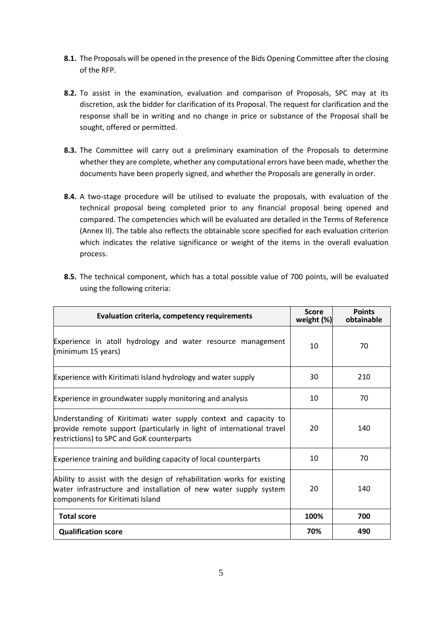- **8.1.** The Proposals will be opened in the presence of the Bids Opening Committee after the closing of the RFP.
- **8.2.** To assist in the examination, evaluation and comparison of Proposals, SPC may at its discretion, ask the bidder for clarification of its Proposal. The request for clarification and the response shall be in writing and no change in price or substance of the Proposal shall be sought, offered or permitted.
- **8.3.** The Committee will carry out a preliminary examination of the Proposals to determine whether they are complete, whether any computational errors have been made, whether the documents have been properly signed, and whether the Proposals are generally in order.
- **8.4.** A two-stage procedure will be utilised to evaluate the proposals, with evaluation of the technical proposal being completed prior to any financial proposal being opened and compared. The competencies which will be evaluated are detailed in the Terms of Reference (Annex II). The table also reflects the obtainable score specified for each evaluation criterion which indicates the relative significance or weight of the items in the overall evaluation process.

| Evaluation criteria, competency requirements                                                                                                                                           | <b>Score</b><br>weight (%) | <b>Points</b><br>obtainable |
|----------------------------------------------------------------------------------------------------------------------------------------------------------------------------------------|----------------------------|-----------------------------|
| Experience in atoll hydrology and water resource management<br>(minimum 15 years)                                                                                                      | 10                         | 70                          |
| Experience with Kiritimati Island hydrology and water supply                                                                                                                           | 30                         | 210                         |
| Experience in groundwater supply monitoring and analysis                                                                                                                               | 10                         | 70                          |
| Understanding of Kiritimati water supply context and capacity to<br>provide remote support (particularly in light of international travel<br>restrictions) to SPC and GoK counterparts | 20                         | 140                         |
| Experience training and building capacity of local counterparts                                                                                                                        | 10                         | 70                          |
| Ability to assist with the design of rehabilitation works for existing<br>water infrastructure and installation of new water supply system<br>components for Kiritimati Island         | 20                         | 140                         |
| <b>Total score</b>                                                                                                                                                                     | 100%                       | 700                         |
| <b>Qualification score</b>                                                                                                                                                             | 70%                        | 490                         |

**8.5.** The technical component, which has a total possible value of 700 points, will be evaluated using the following criteria: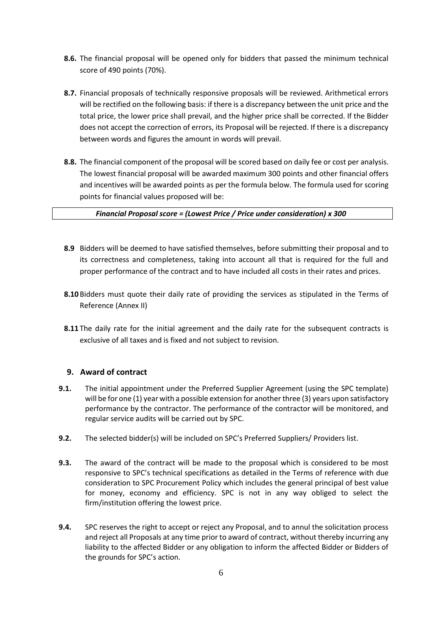- **8.6.** The financial proposal will be opened only for bidders that passed the minimum technical score of 490 points (70%).
- **8.7.** Financial proposals of technically responsive proposals will be reviewed. Arithmetical errors will be rectified on the following basis: if there is a discrepancy between the unit price and the total price, the lower price shall prevail, and the higher price shall be corrected. If the Bidder does not accept the correction of errors, its Proposal will be rejected. If there is a discrepancy between words and figures the amount in words will prevail.
- **8.8.** The financial component of the proposal will be scored based on daily fee or cost per analysis. The lowest financial proposal will be awarded maximum 300 points and other financial offers and incentives will be awarded points as per the formula below. The formula used for scoring points for financial values proposed will be:

### *Financial Proposal score = (Lowest Price / Price under consideration) x 300*

- **8.9** Bidders will be deemed to have satisfied themselves, before submitting their proposal and to its correctness and completeness, taking into account all that is required for the full and proper performance of the contract and to have included all costs in their rates and prices.
- **8.10**Bidders must quote their daily rate of providing the services as stipulated in the Terms of Reference (Annex II)
- **8.11** The daily rate for the initial agreement and the daily rate for the subsequent contracts is exclusive of all taxes and is fixed and not subject to revision.

# **9. Award of contract**

- **9.1.** The initial appointment under the Preferred Supplier Agreement (using the SPC template) will be for one (1) year with a possible extension for another three (3) years upon satisfactory performance by the contractor. The performance of the contractor will be monitored, and regular service audits will be carried out by SPC.
- **9.2.** The selected bidder(s) will be included on SPC's Preferred Suppliers/ Providers list.
- **9.3.** The award of the contract will be made to the proposal which is considered to be most responsive to SPC's technical specifications as detailed in the Terms of reference with due consideration to SPC Procurement Policy which includes the general principal of best value for money, economy and efficiency. SPC is not in any way obliged to select the firm/institution offering the lowest price.
- **9.4.** SPC reserves the right to accept or reject any Proposal, and to annul the solicitation process and reject all Proposals at any time prior to award of contract, without thereby incurring any liability to the affected Bidder or any obligation to inform the affected Bidder or Bidders of the grounds for SPC's action.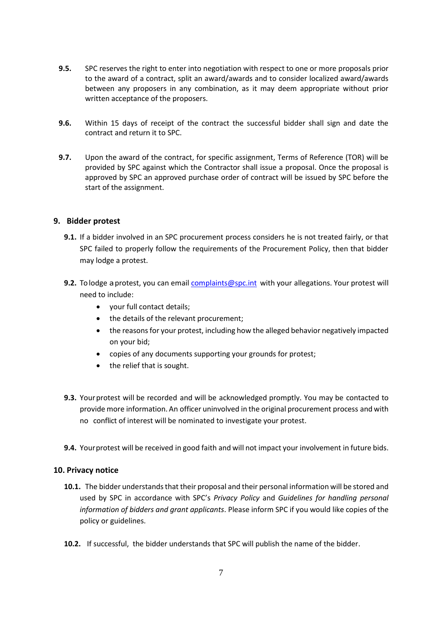- **9.5.** SPC reserves the right to enter into negotiation with respect to one or more proposals prior to the award of a contract, split an award/awards and to consider localized award/awards between any proposers in any combination, as it may deem appropriate without prior written acceptance of the proposers.
- **9.6.** Within 15 days of receipt of the contract the successful bidder shall sign and date the contract and return it to SPC.
- **9.7.** Upon the award of the contract, for specific assignment, Terms of Reference (TOR) will be provided by SPC against which the Contractor shall issue a proposal. Once the proposal is approved by SPC an approved purchase order of contract will be issued by SPC before the start of the assignment.

# **9. Bidder protest**

- **9.1.** If a bidder involved in an SPC procurement process considers he is not treated fairly, or that SPC failed to properly follow the requirements of the Procurement Policy, then that bidder may lodge a protest.
- 9.2. To lodge a protest, you can email [complaints@spc.int](mailto:complaints@spc.int) with your allegations. Your protest will need to include:
	- your full contact details;
	- the details of the relevant procurement;
	- the reasons for your protest, including how the alleged behavior negatively impacted on your bid;
	- copies of any documents supporting your grounds for protest;
	- the relief that is sought.
- **9.3.** Your protest will be recorded and will be acknowledged promptly. You may be contacted to provide more information. An officer uninvolved in the original procurement process and with no conflict of interest will be nominated to investigate your protest.
- **9.4.** Yourprotest will be received in good faith and will not impact your involvement in future bids.

### **10. Privacy notice**

- **10.1.** The bidder understands that their proposal and their personal information will be stored and used by SPC in accordance with SPC's *Privacy Policy* and *Guidelines for handling personal information of bidders and grant applicants*. Please inform SPC if you would like copies of the policy or guidelines.
- **10.2.** If successful, the bidder understands that SPC will publish the name of the bidder.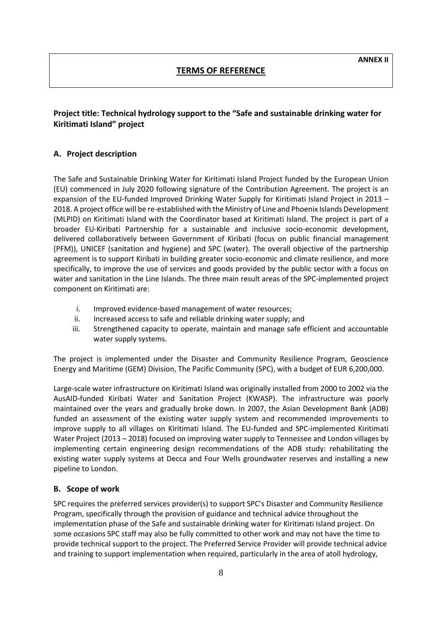# **TERMS OF REFERENCE**

# **Project title: Technical hydrology support to the "Safe and sustainable drinking water for Kiritimati Island" project**

# **A. Project description**

The Safe and Sustainable Drinking Water for Kiritimati Island Project funded by the European Union (EU) commenced in July 2020 following signature of the Contribution Agreement. The project is an expansion of the EU-funded Improved Drinking Water Supply for Kiritimati Island Project in 2013 – 2018. A project office will be re-established with the Ministry of Line and Phoenix Islands Development (MLPID) on Kiritimati Island with the Coordinator based at Kiritimati Island. The project is part of a broader EU-Kiribati Partnership for a sustainable and inclusive socio-economic development, delivered collaboratively between Government of Kiribati (focus on public financial management (PFM)), UNICEF (sanitation and hygiene) and SPC (water). The overall objective of the partnership agreement is to support Kiribati in building greater socio-economic and climate resilience, and more specifically, to improve the use of services and goods provided by the public sector with a focus on water and sanitation in the Line Islands. The three main result areas of the SPC-implemented project component on Kiritimati are:

- i. Improved evidence-based management of water resources;
- ii. Increased access to safe and reliable drinking water supply; and
- iii. Strengthened capacity to operate, maintain and manage safe efficient and accountable water supply systems.

The project is implemented under the Disaster and Community Resilience Program, Geoscience Energy and Maritime (GEM) Division, The Pacific Community (SPC), with a budget of EUR 6,200,000.

Large-scale water infrastructure on Kiritimati Island was originally installed from 2000 to 2002 via the AusAID-funded Kiribati Water and Sanitation Project (KWASP). The infrastructure was poorly maintained over the years and gradually broke down. In 2007, the Asian Development Bank (ADB) funded an assessment of the existing water supply system and recommended improvements to improve supply to all villages on Kiritimati Island. The EU-funded and SPC-implemented Kiritimati Water Project (2013 – 2018) focused on improving water supply to Tennessee and London villages by implementing certain engineering design recommendations of the ADB study: rehabilitating the existing water supply systems at Decca and Four Wells groundwater reserves and installing a new pipeline to London.

### **B. Scope of work**

SPC requires the preferred services provider(s) to support SPC's Disaster and Community Resilience Program, specifically through the provision of guidance and technical advice throughout the implementation phase of the Safe and sustainable drinking water for Kiritimati Island project. On some occasions SPC staff may also be fully committed to other work and may not have the time to provide technical support to the project. The Preferred Service Provider will provide technical advice and training to support implementation when required, particularly in the area of atoll hydrology,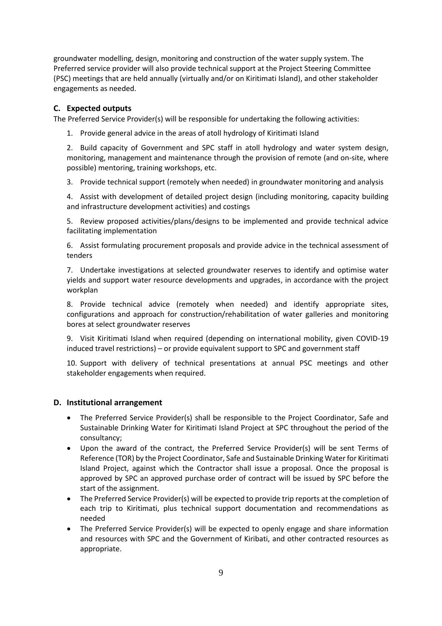groundwater modelling, design, monitoring and construction of the water supply system. The Preferred service provider will also provide technical support at the Project Steering Committee (PSC) meetings that are held annually (virtually and/or on Kiritimati Island), and other stakeholder engagements as needed.

# **C. Expected outputs**

The Preferred Service Provider(s) will be responsible for undertaking the following activities:

1. Provide general advice in the areas of atoll hydrology of Kiritimati Island

2. Build capacity of Government and SPC staff in atoll hydrology and water system design, monitoring, management and maintenance through the provision of remote (and on-site, where possible) mentoring, training workshops, etc.

3. Provide technical support (remotely when needed) in groundwater monitoring and analysis

4. Assist with development of detailed project design (including monitoring, capacity building and infrastructure development activities) and costings

5. Review proposed activities/plans/designs to be implemented and provide technical advice facilitating implementation

6. Assist formulating procurement proposals and provide advice in the technical assessment of tenders

7. Undertake investigations at selected groundwater reserves to identify and optimise water yields and support water resource developments and upgrades, in accordance with the project workplan

8. Provide technical advice (remotely when needed) and identify appropriate sites, configurations and approach for construction/rehabilitation of water galleries and monitoring bores at select groundwater reserves

9. Visit Kiritimati Island when required (depending on international mobility, given COVID-19 induced travel restrictions) – or provide equivalent support to SPC and government staff

10. Support with delivery of technical presentations at annual PSC meetings and other stakeholder engagements when required.

# **D. Institutional arrangement**

- The Preferred Service Provider(s) shall be responsible to the Project Coordinator, Safe and Sustainable Drinking Water for Kiritimati Island Project at SPC throughout the period of the consultancy;
- Upon the award of the contract, the Preferred Service Provider(s) will be sent Terms of Reference (TOR) by the Project Coordinator, Safe and Sustainable Drinking Water for Kiritimati Island Project, against which the Contractor shall issue a proposal. Once the proposal is approved by SPC an approved purchase order of contract will be issued by SPC before the start of the assignment.
- The Preferred Service Provider(s) will be expected to provide trip reports at the completion of each trip to Kiritimati, plus technical support documentation and recommendations as needed
- The Preferred Service Provider(s) will be expected to openly engage and share information and resources with SPC and the Government of Kiribati, and other contracted resources as appropriate.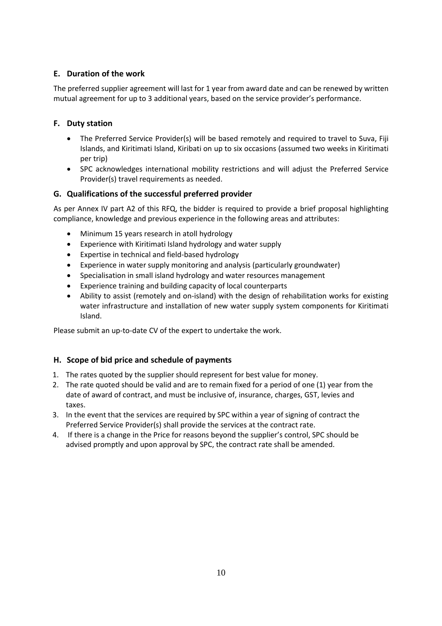# **E. Duration of the work**

The preferred supplier agreement will last for 1 year from award date and can be renewed by written mutual agreement for up to 3 additional years, based on the service provider's performance.

# **F. Duty station**

- The Preferred Service Provider(s) will be based remotely and required to travel to Suva, Fiji Islands, and Kiritimati Island, Kiribati on up to six occasions (assumed two weeks in Kiritimati per trip)
- SPC acknowledges international mobility restrictions and will adjust the Preferred Service Provider(s) travel requirements as needed.

# **G. Qualifications of the successful preferred provider**

As per Annex IV part A2 of this RFQ, the bidder is required to provide a brief proposal highlighting compliance, knowledge and previous experience in the following areas and attributes:

- Minimum 15 years research in atoll hydrology
- Experience with Kiritimati Island hydrology and water supply
- Expertise in technical and field-based hydrology
- Experience in water supply monitoring and analysis (particularly groundwater)
- Specialisation in small island hydrology and water resources management
- Experience training and building capacity of local counterparts
- Ability to assist (remotely and on-island) with the design of rehabilitation works for existing water infrastructure and installation of new water supply system components for Kiritimati Island.

Please submit an up-to-date CV of the expert to undertake the work.

# **H. Scope of bid price and schedule of payments**

- 1. The rates quoted by the supplier should represent for best value for money.
- 2. The rate quoted should be valid and are to remain fixed for a period of one (1) year from the date of award of contract, and must be inclusive of, insurance, charges, GST, levies and taxes.
- 3. In the event that the services are required by SPC within a year of signing of contract the Preferred Service Provider(s) shall provide the services at the contract rate.
- 4. If there is a change in the Price for reasons beyond the supplier's control, SPC should be advised promptly and upon approval by SPC, the contract rate shall be amended.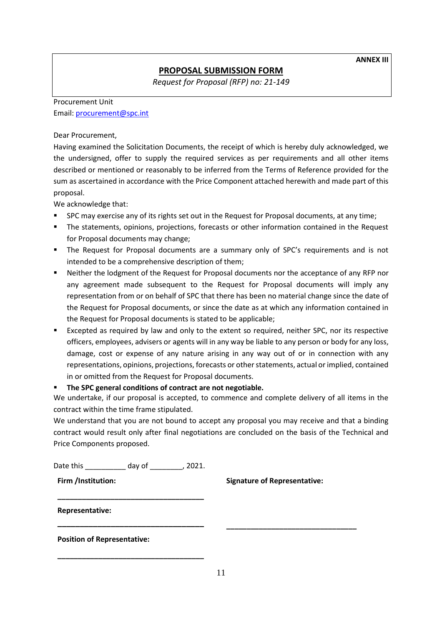**ANNEX III**

# **PROPOSAL SUBMISSION FORM**

*Request for Proposal (RFP) no: 21-149*

# Procurement Unit Email: [procurement@spc.int](mailto:procurement@spc.int)

Dear Procurement,

Having examined the Solicitation Documents, the receipt of which is hereby duly acknowledged, we the undersigned, offer to supply the required services as per requirements and all other items described or mentioned or reasonably to be inferred from the Terms of Reference provided for the sum as ascertained in accordance with the Price Component attached herewith and made part of this proposal.

We acknowledge that:

- SPC may exercise any of its rights set out in the Request for Proposal documents, at any time;
- **■** The statements, opinions, projections, forecasts or other information contained in the Request for Proposal documents may change;
- **•** The Request for Proposal documents are a summary only of SPC's requirements and is not intended to be a comprehensive description of them;
- Neither the lodgment of the Request for Proposal documents nor the acceptance of any RFP nor any agreement made subsequent to the Request for Proposal documents will imply any representation from or on behalf of SPC that there has been no material change since the date of the Request for Proposal documents, or since the date as at which any information contained in the Request for Proposal documents is stated to be applicable;
- Excepted as required by law and only to the extent so required, neither SPC, nor its respective officers, employees, advisers or agents will in any way be liable to any person or body for any loss, damage, cost or expense of any nature arising in any way out of or in connection with any representations, opinions, projections, forecasts or other statements, actual or implied, contained in or omitted from the Request for Proposal documents.

# ▪ **The SPC general conditions of contract are not negotiable.**

We undertake, if our proposal is accepted, to commence and complete delivery of all items in the contract within the time frame stipulated.

We understand that you are not bound to accept any proposal you may receive and that a binding contract would result only after final negotiations are concluded on the basis of the Technical and Price Components proposed.

Date this \_\_\_\_\_\_\_\_\_\_ day of \_\_\_\_\_\_\_\_, 2021.

**\_\_\_\_\_\_\_\_\_\_\_\_\_\_\_\_\_\_\_\_\_\_\_\_\_\_\_\_\_\_\_\_\_\_\_\_**

**\_\_\_\_\_\_\_\_\_\_\_\_\_\_\_\_\_\_\_\_\_\_\_\_\_\_\_\_\_\_\_\_\_**

**\_\_\_\_\_\_\_\_\_\_\_\_\_\_\_\_\_\_\_\_\_\_\_\_\_\_\_\_\_\_\_\_\_\_\_\_**

**Firm /Institution:**

**Signature of Representative:**

**\_\_\_\_\_\_\_\_\_\_\_\_\_\_\_\_\_\_\_\_\_\_\_\_\_\_\_\_\_\_\_\_**

**Representative:**

**Position of Representative:**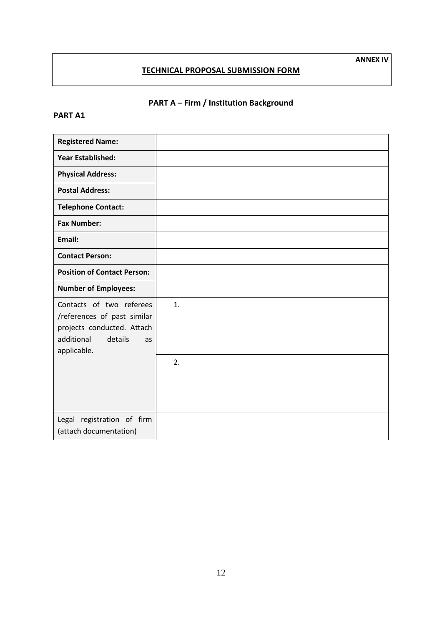# **TECHNICAL PROPOSAL SUBMISSION FORM**

# **PART A – Firm / Institution Background**

# **PART A1**

| <b>Registered Name:</b>                                                                                                             |    |
|-------------------------------------------------------------------------------------------------------------------------------------|----|
| <b>Year Established:</b>                                                                                                            |    |
| <b>Physical Address:</b>                                                                                                            |    |
| <b>Postal Address:</b>                                                                                                              |    |
| <b>Telephone Contact:</b>                                                                                                           |    |
| <b>Fax Number:</b>                                                                                                                  |    |
| Email:                                                                                                                              |    |
| <b>Contact Person:</b>                                                                                                              |    |
| <b>Position of Contact Person:</b>                                                                                                  |    |
| <b>Number of Employees:</b>                                                                                                         |    |
| Contacts of two referees<br>/references of past similar<br>projects conducted. Attach<br>additional<br>details<br>as<br>applicable. | 1. |
|                                                                                                                                     | 2. |
| Legal registration of firm<br>(attach documentation)                                                                                |    |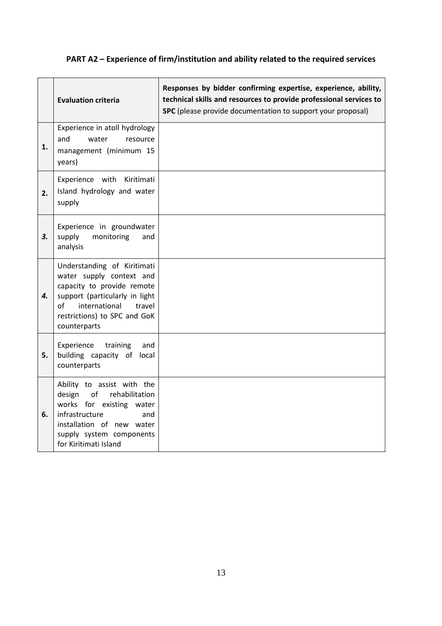# **PART A2 – Experience of firm/institution and ability related to the required services**

|    | <b>Evaluation criteria</b>                                                                                                                                                                               | Responses by bidder confirming expertise, experience, ability,<br>technical skills and resources to provide professional services to<br>SPC (please provide documentation to support your proposal) |
|----|----------------------------------------------------------------------------------------------------------------------------------------------------------------------------------------------------------|-----------------------------------------------------------------------------------------------------------------------------------------------------------------------------------------------------|
| 1. | Experience in atoll hydrology<br>and<br>water<br>resource<br>management (minimum 15<br>years)                                                                                                            |                                                                                                                                                                                                     |
| 2. | Experience with<br>Kiritimati<br>Island hydrology and water<br>supply                                                                                                                                    |                                                                                                                                                                                                     |
| 3. | Experience in groundwater<br>monitoring<br>supply<br>and<br>analysis                                                                                                                                     |                                                                                                                                                                                                     |
| 4. | Understanding of Kiritimati<br>water supply context and<br>capacity to provide remote<br>support (particularly in light<br>international<br>travel<br>of<br>restrictions) to SPC and GoK<br>counterparts |                                                                                                                                                                                                     |
| 5. | Experience<br>training<br>and<br>building capacity of local<br>counterparts                                                                                                                              |                                                                                                                                                                                                     |
| 6. | Ability to assist with the<br>design<br>of<br>rehabilitation<br>works for existing water<br>infrastructure<br>and<br>installation of new water<br>supply system components<br>for Kiritimati Island      |                                                                                                                                                                                                     |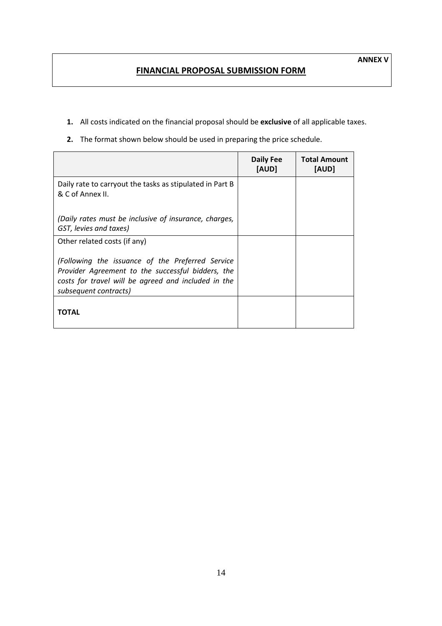# **FINANCIAL PROPOSAL SUBMISSION FORM**

- **1.** All costs indicated on the financial proposal should be **exclusive** of all applicable taxes.
- **2.** The format shown below should be used in preparing the price schedule.

|                                                                                                                                                                                       | <b>Daily Fee</b><br>[AUD] | <b>Total Amount</b><br>[AUD] |
|---------------------------------------------------------------------------------------------------------------------------------------------------------------------------------------|---------------------------|------------------------------|
| Daily rate to carryout the tasks as stipulated in Part B<br>& C of Annex II.                                                                                                          |                           |                              |
| (Daily rates must be inclusive of insurance, charges,<br>GST, levies and taxes)                                                                                                       |                           |                              |
| Other related costs (if any)                                                                                                                                                          |                           |                              |
| (Following the issuance of the Preferred Service<br>Provider Agreement to the successful bidders, the<br>costs for travel will be agreed and included in the<br>subsequent contracts) |                           |                              |
| ΤΟΤΑL                                                                                                                                                                                 |                           |                              |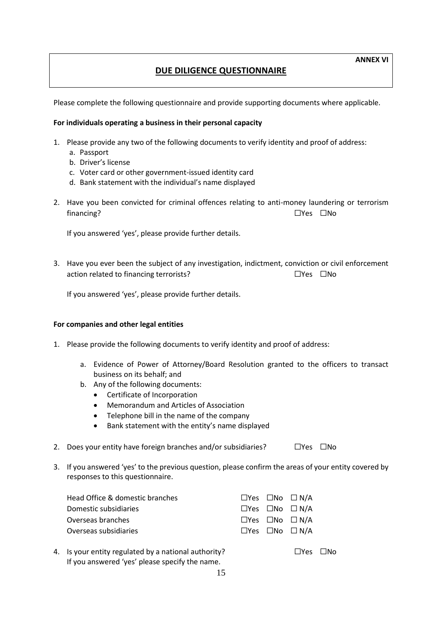# **DUE DILIGENCE QUESTIONNAIRE**

Please complete the following questionnaire and provide supporting documents where applicable.

#### **For individuals operating a business in their personal capacity**

- 1. Please provide any two of the following documents to verify identity and proof of address:
	- a. Passport
		- b. Driver's license
		- c. Voter card or other government-issued identity card
		- d. Bank statement with the individual's name displayed
- 2. Have you been convicted for criminal offences relating to anti-money laundering or terrorism financing? ☐Yes ☐No

If you answered 'yes', please provide further details.

3. Have you ever been the subject of any investigation, indictment, conviction or civil enforcement action related to financing terrorists? ☐Yes ☐No

If you answered 'yes', please provide further details.

#### **For companies and other legal entities**

- 1. Please provide the following documents to verify identity and proof of address:
	- a. Evidence of Power of Attorney/Board Resolution granted to the officers to transact business on its behalf; and
	- b. Any of the following documents:
		- Certificate of Incorporation
		- Memorandum and Articles of Association
		- Telephone bill in the name of the company
		- Bank statement with the entity's name displayed
- 2. Does your entity have foreign branches and/or subsidiaries? □ □Yes □No
- 3. If you answered 'yes' to the previous question, please confirm the areas of your entity covered by responses to this questionnaire.

| Head Office & domestic branches |  | $\Box$ Yes $\Box$ No $\Box$ N/A |
|---------------------------------|--|---------------------------------|
| Domestic subsidiaries           |  | $\Box$ Yes $\Box$ No $\Box$ N/A |
| Overseas branches               |  | $\Box$ Yes $\Box$ No $\Box$ N/A |
| Overseas subsidiaries           |  | $\Box$ Yes $\Box$ No $\Box$ N/A |
|                                 |  |                                 |

4. Is your entity regulated by a national authority? ☐Yes ☐No If you answered 'yes' please specify the name.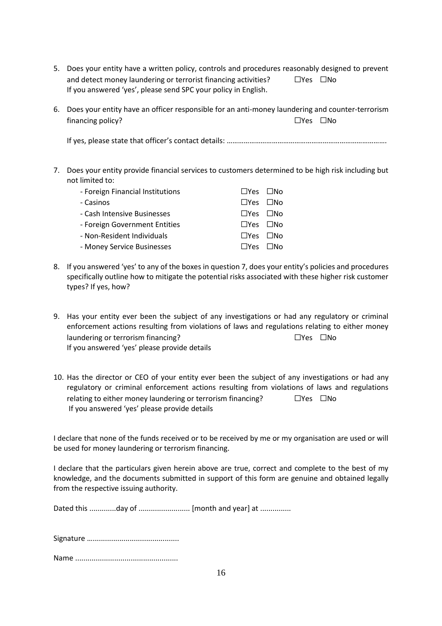- 5. Does your entity have a written policy, controls and procedures reasonably designed to prevent and detect money laundering or terrorist financing activities?  $□$ Yes  $□$ No If you answered 'yes', please send SPC your policy in English.
- 6. Does your entity have an officer responsible for an anti-money laundering and counter-terrorism financing policy? ☐Yes ☐No

If yes, please state that officer's contact details: ………………………………………………………………………….

7. Does your entity provide financial services to customers determined to be high risk including but not limited to:

| - Foreign Financial Institutions | $\Box$ Yes $\Box$ No       |  |
|----------------------------------|----------------------------|--|
| - Casinos                        | $\square$ Yes $\square$ No |  |
| - Cash Intensive Businesses      | $\Box$ Yes $\Box$ No       |  |
| - Foreign Government Entities    | $\square$ Yes $\square$ No |  |
| - Non-Resident Individuals       | $\square$ Yes $\square$ No |  |
| - Money Service Businesses       | $\square$ Yes $\square$ No |  |

- 8. If you answered 'yes' to any of the boxes in question 7, does your entity's policies and procedures specifically outline how to mitigate the potential risks associated with these higher risk customer types? If yes, how?
- 9. Has your entity ever been the subject of any investigations or had any regulatory or criminal enforcement actions resulting from violations of laws and regulations relating to either money laundering or terrorism financing? ☐Yes ☐No If you answered 'yes' please provide details
- 10. Has the director or CEO of your entity ever been the subject of any investigations or had any regulatory or criminal enforcement actions resulting from violations of laws and regulations relating to either money laundering or terrorism financing? □ □Yes □No If you answered 'yes' please provide details

I declare that none of the funds received or to be received by me or my organisation are used or will be used for money laundering or terrorism financing.

I declare that the particulars given herein above are true, correct and complete to the best of my knowledge, and the documents submitted in support of this form are genuine and obtained legally from the respective issuing authority.

Dated this .............day of ......................... [month and year] at ...............

Signature ….......................................... Name ..................................................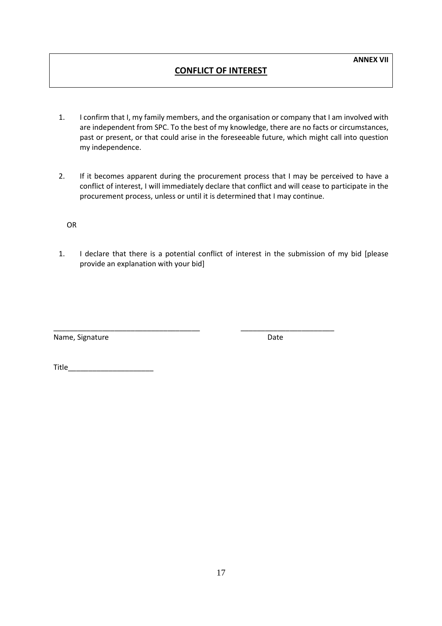# **CONFLICT OF INTEREST**

- 1. I confirm that I, my family members, and the organisation or company that I am involved with are independent from SPC. To the best of my knowledge, there are no facts or circumstances, past or present, or that could arise in the foreseeable future, which might call into question my independence.
- 2. If it becomes apparent during the procurement process that I may be perceived to have a conflict of interest, I will immediately declare that conflict and will cease to participate in the procurement process, unless or until it is determined that I may continue.

OR

1. I declare that there is a potential conflict of interest in the submission of my bid [please provide an explanation with your bid]

\_\_\_\_\_\_\_\_\_\_\_\_\_\_\_\_\_\_\_\_\_\_\_\_\_\_\_\_\_\_\_\_\_\_\_\_ \_\_\_\_\_\_\_\_\_\_\_\_\_\_\_\_\_\_\_\_\_\_\_

Name, Signature Date

Title\_\_\_\_\_\_\_\_\_\_\_\_\_\_\_\_\_\_\_\_\_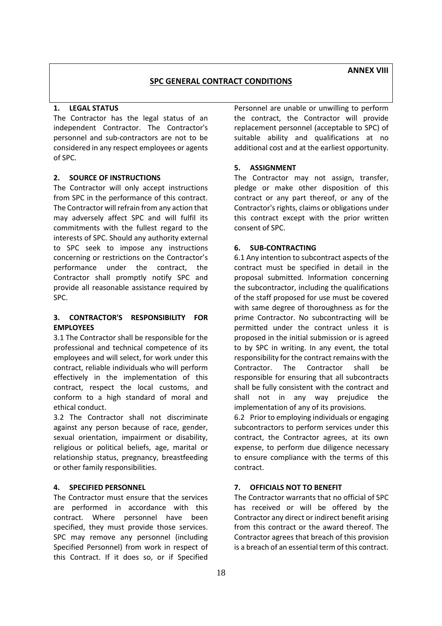**ANNEX VIII**

# **SPC GENERAL CONTRACT CONDITIONS**

### **1. LEGAL STATUS**

The Contractor has the legal status of an independent Contractor. The Contractor's personnel and sub-contractors are not to be considered in any respect employees or agents of SPC.

# **2. SOURCE OF INSTRUCTIONS**

The Contractor will only accept instructions from SPC in the performance of this contract. The Contractor will refrain from any action that may adversely affect SPC and will fulfil its commitments with the fullest regard to the interests of SPC. Should any authority external to SPC seek to impose any instructions concerning or restrictions on the Contractor's performance under the contract, the Contractor shall promptly notify SPC and provide all reasonable assistance required by SPC.

# **3. CONTRACTOR'S RESPONSIBILITY FOR EMPLOYEES**

3.1 The Contractor shall be responsible for the professional and technical competence of its employees and will select, for work under this contract, reliable individuals who will perform effectively in the implementation of this contract, respect the local customs, and conform to a high standard of moral and ethical conduct.

3.2 The Contractor shall not discriminate against any person because of race, gender, sexual orientation, impairment or disability, religious or political beliefs, age, marital or relationship status, pregnancy, breastfeeding or other family responsibilities.

# **4. SPECIFIED PERSONNEL**

The Contractor must ensure that the services are performed in accordance with this contract. Where personnel have been specified, they must provide those services. SPC may remove any personnel (including Specified Personnel) from work in respect of this Contract. If it does so, or if Specified

Personnel are unable or unwilling to perform the contract, the Contractor will provide replacement personnel (acceptable to SPC) of suitable ability and qualifications at no additional cost and at the earliest opportunity.

# **5. ASSIGNMENT**

The Contractor may not assign, transfer, pledge or make other disposition of this contract or any part thereof, or any of the Contractor's rights, claims or obligations under this contract except with the prior written consent of SPC.

# **6. SUB-CONTRACTING**

6.1 Any intention to subcontract aspects of the contract must be specified in detail in the proposal submitted. Information concerning the subcontractor, including the qualifications of the staff proposed for use must be covered with same degree of thoroughness as for the prime Contractor. No subcontracting will be permitted under the contract unless it is proposed in the initial submission or is agreed to by SPC in writing. In any event, the total responsibility for the contract remains with the Contractor. The Contractor shall be responsible for ensuring that all subcontracts shall be fully consistent with the contract and shall not in any way prejudice the implementation of any of its provisions.

6.2 Prior to employing individuals or engaging subcontractors to perform services under this contract, the Contractor agrees, at its own expense, to perform due diligence necessary to ensure compliance with the terms of this contract.

# **7. OFFICIALS NOT TO BENEFIT**

The Contractor warrants that no official of SPC has received or will be offered by the Contractor any direct or indirect benefit arising from this contract or the award thereof. The Contractor agrees that breach of this provision is a breach of an essential term of this contract.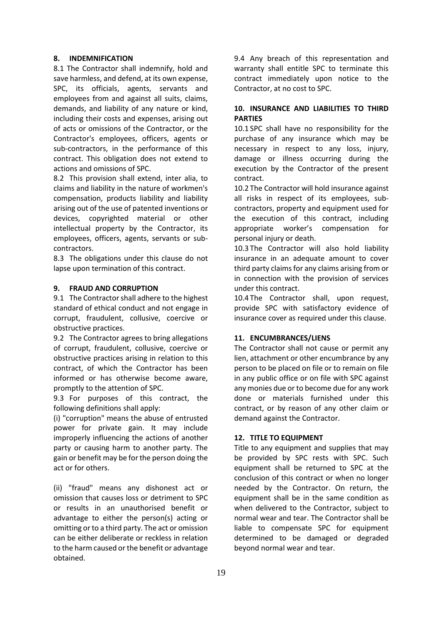#### **8. INDEMNIFICATION**

8.1 The Contractor shall indemnify, hold and save harmless, and defend, at its own expense, SPC, its officials, agents, servants and employees from and against all suits, claims, demands, and liability of any nature or kind, including their costs and expenses, arising out of acts or omissions of the Contractor, or the Contractor's employees, officers, agents or sub-contractors, in the performance of this contract. This obligation does not extend to actions and omissions of SPC.

8.2 This provision shall extend, inter alia, to claims and liability in the nature of workmen's compensation, products liability and liability arising out of the use of patented inventions or devices, copyrighted material or other intellectual property by the Contractor, its employees, officers, agents, servants or subcontractors.

8.3 The obligations under this clause do not lapse upon termination of this contract.

#### **9. FRAUD AND CORRUPTION**

9.1 The Contractor shall adhere to the highest standard of ethical conduct and not engage in corrupt, fraudulent, collusive, coercive or obstructive practices.

9.2 The Contractor agrees to bring allegations of corrupt, fraudulent, collusive, coercive or obstructive practices arising in relation to this contract, of which the Contractor has been informed or has otherwise become aware, promptly to the attention of SPC.

9.3 For purposes of this contract, the following definitions shall apply:

(i) "corruption" means the abuse of entrusted power for private gain. It may include improperly influencing the actions of another party or causing harm to another party. The gain or benefit may be for the person doing the act or for others.

(ii) "fraud" means any dishonest act or omission that causes loss or detriment to SPC or results in an unauthorised benefit or advantage to either the person(s) acting or omitting or to a third party. The act or omission can be either deliberate or reckless in relation to the harm caused or the benefit or advantage obtained.

9.4 Any breach of this representation and warranty shall entitle SPC to terminate this contract immediately upon notice to the Contractor, at no cost to SPC.

# **10. INSURANCE AND LIABILITIES TO THIRD PARTIES**

10.1 SPC shall have no responsibility for the purchase of any insurance which may be necessary in respect to any loss, injury, damage or illness occurring during the execution by the Contractor of the present contract.

10.2 The Contractor will hold insurance against all risks in respect of its employees, subcontractors, property and equipment used for the execution of this contract, including appropriate worker's compensation for personal injury or death.

10.3 The Contractor will also hold liability insurance in an adequate amount to cover third party claims for any claims arising from or in connection with the provision of services under this contract.

10.4 The Contractor shall, upon request, provide SPC with satisfactory evidence of insurance cover as required under this clause.

#### **11. ENCUMBRANCES/LIENS**

The Contractor shall not cause or permit any lien, attachment or other encumbrance by any person to be placed on file or to remain on file in any public office or on file with SPC against any monies due or to become due for any work done or materials furnished under this contract, or by reason of any other claim or demand against the Contractor.

#### **12. TITLE TO EQUIPMENT**

Title to any equipment and supplies that may be provided by SPC rests with SPC. Such equipment shall be returned to SPC at the conclusion of this contract or when no longer needed by the Contractor. On return, the equipment shall be in the same condition as when delivered to the Contractor, subject to normal wear and tear. The Contractor shall be liable to compensate SPC for equipment determined to be damaged or degraded beyond normal wear and tear.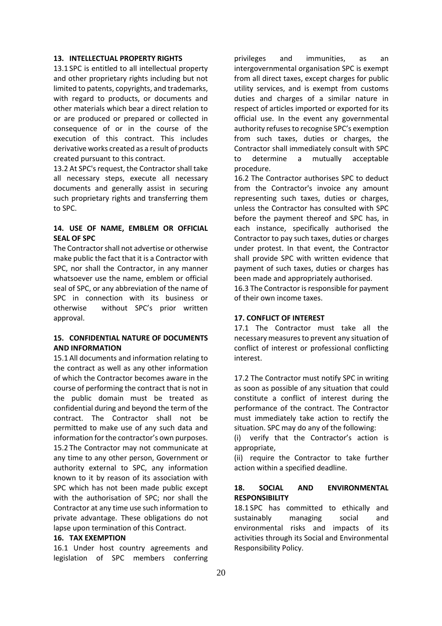#### **13. INTELLECTUAL PROPERTY RIGHTS**

13.1 SPC is entitled to all intellectual property and other proprietary rights including but not limited to patents, copyrights, and trademarks, with regard to products, or documents and other materials which bear a direct relation to or are produced or prepared or collected in consequence of or in the course of the execution of this contract. This includes derivative works created as a result of products created pursuant to this contract.

13.2 At SPC's request, the Contractor shall take all necessary steps, execute all necessary documents and generally assist in securing such proprietary rights and transferring them to SPC.

### **14. USE OF NAME, EMBLEM OR OFFICIAL SEAL OF SPC**

The Contractor shall not advertise or otherwise make public the fact that it is a Contractor with SPC, nor shall the Contractor, in any manner whatsoever use the name, emblem or official seal of SPC, or any abbreviation of the name of SPC in connection with its business or otherwise without SPC's prior written approval.

### **15. CONFIDENTIAL NATURE OF DOCUMENTS AND INFORMATION**

15.1 All documents and information relating to the contract as well as any other information of which the Contractor becomes aware in the course of performing the contract that is not in the public domain must be treated as confidential during and beyond the term of the contract. The Contractor shall not be permitted to make use of any such data and information for the contractor's own purposes. 15.2 The Contractor may not communicate at any time to any other person, Government or authority external to SPC, any information known to it by reason of its association with SPC which has not been made public except with the authorisation of SPC; nor shall the Contractor at any time use such information to private advantage. These obligations do not lapse upon termination of this Contract.

#### **16. TAX EXEMPTION**

16.1 Under host country agreements and legislation of SPC members conferring

privileges and immunities, as an intergovernmental organisation SPC is exempt from all direct taxes, except charges for public utility services, and is exempt from customs duties and charges of a similar nature in respect of articles imported or exported for its official use. In the event any governmental authority refuses to recognise SPC's exemption from such taxes, duties or charges, the Contractor shall immediately consult with SPC to determine a mutually acceptable procedure.

16.2 The Contractor authorises SPC to deduct from the Contractor's invoice any amount representing such taxes, duties or charges, unless the Contractor has consulted with SPC before the payment thereof and SPC has, in each instance, specifically authorised the Contractor to pay such taxes, duties or charges under protest. In that event, the Contractor shall provide SPC with written evidence that payment of such taxes, duties or charges has been made and appropriately authorised.

16.3 The Contractor is responsible for payment of their own income taxes.

### **17. CONFLICT OF INTEREST**

17.1 The Contractor must take all the necessary measures to prevent any situation of conflict of interest or professional conflicting interest.

17.2 The Contractor must notify SPC in writing as soon as possible of any situation that could constitute a conflict of interest during the performance of the contract. The Contractor must immediately take action to rectify the situation. SPC may do any of the following:

(i) verify that the Contractor's action is appropriate,

(ii) require the Contractor to take further action within a specified deadline.

### **18. SOCIAL AND ENVIRONMENTAL RESPONSIBILITY**

18.1 SPC has committed to ethically and sustainably managing social and environmental risks and impacts of its activities through its Social and Environmental Responsibility Policy.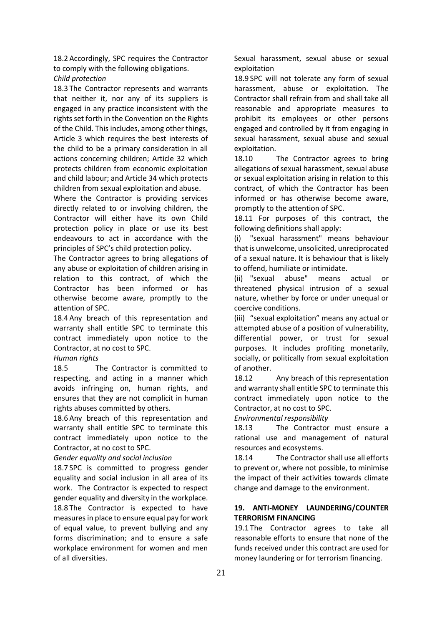18.2 Accordingly, SPC requires the Contractor to comply with the following obligations.

*Child protection*

18.3 The Contractor represents and warrants that neither it, nor any of its suppliers is engaged in any practice inconsistent with the rights set forth in the Convention on the Rights of the Child. This includes, among other things, Article 3 which requires the best interests of the child to be a primary consideration in all actions concerning children; Article 32 which protects children from economic exploitation and child labour; and Article 34 which protects children from sexual exploitation and abuse.

Where the Contractor is providing services directly related to or involving children, the Contractor will either have its own Child protection policy in place or use its best endeavours to act in accordance with the principles of SPC's child protection policy.

The Contractor agrees to bring allegations of any abuse or exploitation of children arising in relation to this contract, of which the Contractor has been informed or has otherwise become aware, promptly to the attention of SPC.

18.4 Any breach of this representation and warranty shall entitle SPC to terminate this contract immediately upon notice to the Contractor, at no cost to SPC.

#### *Human rights*

18.5 The Contractor is committed to respecting, and acting in a manner which avoids infringing on, human rights, and ensures that they are not complicit in human rights abuses committed by others.

18.6 Any breach of this representation and warranty shall entitle SPC to terminate this contract immediately upon notice to the Contractor, at no cost to SPC.

*Gender equality and social inclusion*

18.7 SPC is committed to progress gender equality and social inclusion in all area of its work. The Contractor is expected to respect gender equality and diversity in the workplace. 18.8 The Contractor is expected to have measures in place to ensure equal pay for work of equal value, to prevent bullying and any forms discrimination; and to ensure a safe workplace environment for women and men of all diversities.

Sexual harassment, sexual abuse or sexual exploitation

18.9 SPC will not tolerate any form of sexual harassment, abuse or exploitation. The Contractor shall refrain from and shall take all reasonable and appropriate measures to prohibit its employees or other persons engaged and controlled by it from engaging in sexual harassment, sexual abuse and sexual exploitation.

18.10 The Contractor agrees to bring allegations of sexual harassment, sexual abuse or sexual exploitation arising in relation to this contract, of which the Contractor has been informed or has otherwise become aware, promptly to the attention of SPC.

18.11 For purposes of this contract, the following definitions shall apply:

(i) "sexual harassment" means behaviour that is unwelcome, unsolicited, unreciprocated of a sexual nature. It is behaviour that is likely to offend, humiliate or intimidate.

(ii) "sexual abuse" means actual or threatened physical intrusion of a sexual nature, whether by force or under unequal or coercive conditions.

(iii) "sexual exploitation" means any actual or attempted abuse of a position of vulnerability, differential power, or trust for sexual purposes. It includes profiting monetarily, socially, or politically from sexual exploitation of another.

18.12 Any breach of this representation and warranty shall entitle SPC to terminate this contract immediately upon notice to the Contractor, at no cost to SPC.

*Environmental responsibility*

18.13 The Contractor must ensure a rational use and management of natural resources and ecosystems.

18.14 The Contractor shall use all efforts to prevent or, where not possible, to minimise the impact of their activities towards climate change and damage to the environment.

# **19. ANTI-MONEY LAUNDERING/COUNTER TERRORISM FINANCING**

19.1 The Contractor agrees to take all reasonable efforts to ensure that none of the funds received under this contract are used for money laundering or for terrorism financing.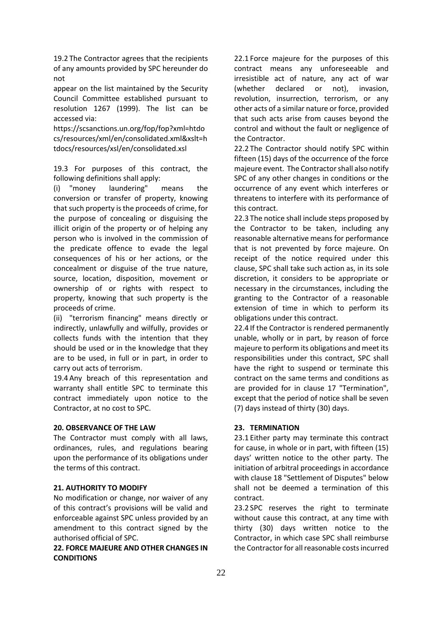19.2 The Contractor agrees that the recipients of any amounts provided by SPC hereunder do not

appear on the list maintained by the Security Council Committee established pursuant to resolution 1267 (1999). The list can be accessed via:

https://scsanctions.un.org/fop/fop?xml=htdo cs/resources/xml/en/consolidated.xml&xslt=h tdocs/resources/xsl/en/consolidated.xsl

19.3 For purposes of this contract, the following definitions shall apply:

(i) "money laundering" means the conversion or transfer of property, knowing that such property is the proceeds of crime, for the purpose of concealing or disguising the illicit origin of the property or of helping any person who is involved in the commission of the predicate offence to evade the legal consequences of his or her actions, or the concealment or disguise of the true nature, source, location, disposition, movement or ownership of or rights with respect to property, knowing that such property is the proceeds of crime.

(ii) "terrorism financing" means directly or indirectly, unlawfully and wilfully, provides or collects funds with the intention that they should be used or in the knowledge that they are to be used, in full or in part, in order to carry out acts of terrorism.

19.4 Any breach of this representation and warranty shall entitle SPC to terminate this contract immediately upon notice to the Contractor, at no cost to SPC.

### **20. OBSERVANCE OF THE LAW**

The Contractor must comply with all laws, ordinances, rules, and regulations bearing upon the performance of its obligations under the terms of this contract.

#### **21. AUTHORITY TO MODIFY**

No modification or change, nor waiver of any of this contract's provisions will be valid and enforceable against SPC unless provided by an amendment to this contract signed by the authorised official of SPC.

**22. FORCE MAJEURE AND OTHER CHANGES IN CONDITIONS** 

22.1 Force majeure for the purposes of this contract means any unforeseeable and irresistible act of nature, any act of war (whether declared or not), invasion, revolution, insurrection, terrorism, or any other acts of a similar nature or force, provided that such acts arise from causes beyond the control and without the fault or negligence of the Contractor.

22.2 The Contractor should notify SPC within fifteen (15) days of the occurrence of the force majeure event. The Contractor shall also notify SPC of any other changes in conditions or the occurrence of any event which interferes or threatens to interfere with its performance of this contract.

22.3 The notice shall include steps proposed by the Contractor to be taken, including any reasonable alternative means for performance that is not prevented by force majeure. On receipt of the notice required under this clause, SPC shall take such action as, in its sole discretion, it considers to be appropriate or necessary in the circumstances, including the granting to the Contractor of a reasonable extension of time in which to perform its obligations under this contract.

22.4 If the Contractor is rendered permanently unable, wholly or in part, by reason of force majeure to perform its obligations and meet its responsibilities under this contract, SPC shall have the right to suspend or terminate this contract on the same terms and conditions as are provided for in clause 17 "Termination", except that the period of notice shall be seven (7) days instead of thirty (30) days.

### **23. TERMINATION**

23.1 Either party may terminate this contract for cause, in whole or in part, with fifteen (15) days' written notice to the other party. The initiation of arbitral proceedings in accordance with clause 18 "Settlement of Disputes" below shall not be deemed a termination of this contract.

23.2 SPC reserves the right to terminate without cause this contract, at any time with thirty (30) days written notice to the Contractor, in which case SPC shall reimburse the Contractor for all reasonable costs incurred